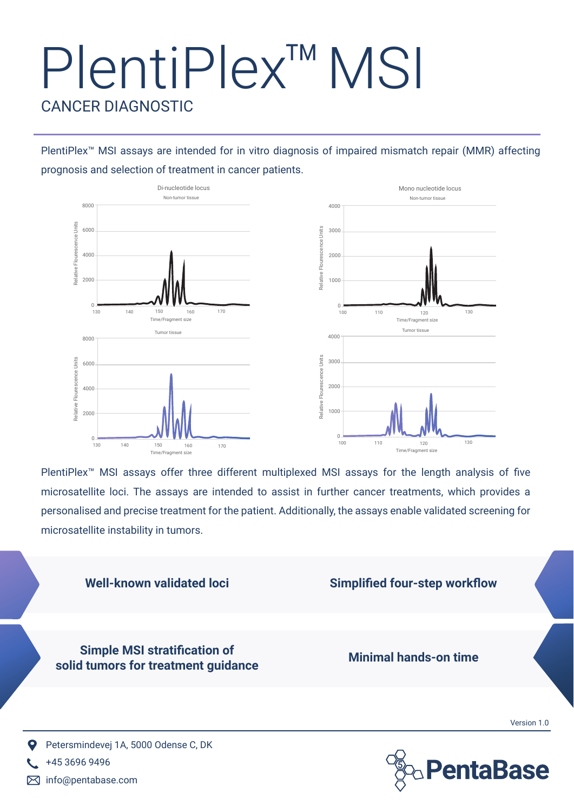# PlentiPlex™ MSI CANCER DIAGNOSTIC

PlentiPlex<sup>™</sup> MSI assays are intended for in vitro diagnosis of impaired mismatch repair (MMR) affecting prognosis and selection of treatment in cancer patients.



PlentiPlex<sup>™</sup> MSI assays offer three different multiplexed MSI assays for the length analysis of five microsatellite loci. The assays are intended to assist in further cancer treatments, which provides a personalised and precise treatment for the patient. Additionally, the assays enable validated screening for microsatellite instability in tumors.





+45 3696 9496 info@pentabase.com